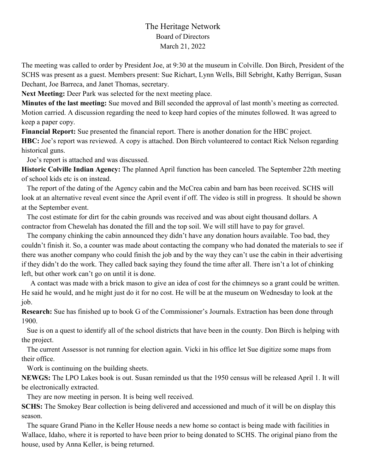## The Heritage Network Board of Directors March 21, 2022

The meeting was called to order by President Joe, at 9:30 at the museum in Colville. Don Birch, President of the SCHS was present as a guest. Members present: Sue Richart, Lynn Wells, Bill Sebright, Kathy Berrigan, Susan Dechant, Joe Barreca, and Janet Thomas, secretary.

**Next Meeting:** Deer Park was selected for the next meeting place.

**Minutes of the last meeting:** Sue moved and Bill seconded the approval of last month's meeting as corrected. Motion carried. A discussion regarding the need to keep hard copies of the minutes followed. It was agreed to keep a paper copy.

**Financial Report:** Sue presented the financial report. There is another donation for the HBC project. **HBC:** Joe's report was reviewed. A copy is attached. Don Birch volunteered to contact Rick Nelson regarding historical guns.

Joe's report is attached and was discussed.

**Historic Colville Indian Agency:** The planned April function has been canceled. The September 22th meeting of school kids etc is on instead.

 The report of the dating of the Agency cabin and the McCrea cabin and barn has been received. SCHS will look at an alternative reveal event since the April event if off. The video is still in progress. It should be shown at the September event.

 The cost estimate for dirt for the cabin grounds was received and was about eight thousand dollars. A contractor from Chewelah has donated the fill and the top soil. We will still have to pay for gravel.

 The company chinking the cabin announced they didn't have any donation hours available. Too bad, they couldn't finish it. So, a counter was made about contacting the company who had donated the materials to see if there was another company who could finish the job and by the way they can't use the cabin in their advertising if they didn't do the work. They called back saying they found the time after all. There isn't a lot of chinking left, but other work can't go on until it is done.

 A contact was made with a brick mason to give an idea of cost for the chimneys so a grant could be written. He said he would, and he might just do it for no cost. He will be at the museum on Wednesday to look at the job.

**Research:** Sue has finished up to book G of the Commissioner's Journals. Extraction has been done through 1900.

 Sue is on a quest to identify all of the school districts that have been in the county. Don Birch is helping with the project.

 The current Assessor is not running for election again. Vicki in his office let Sue digitize some maps from their office.

Work is continuing on the building sheets.

**NEWGS:** The LPO Lakes book is out. Susan reminded us that the 1950 census will be released April 1. It will be electronically extracted.

They are now meeting in person. It is being well received.

**SCHS:** The Smokey Bear collection is being delivered and accessioned and much of it will be on display this season.

 The square Grand Piano in the Keller House needs a new home so contact is being made with facilities in Wallace, Idaho, where it is reported to have been prior to being donated to SCHS. The original piano from the house, used by Anna Keller, is being returned.